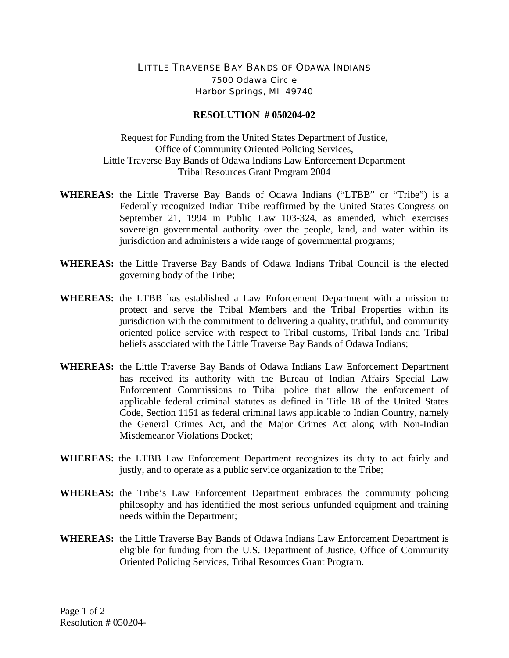## LITTLE TRAVERSE BAY BANDS OF ODAWA INDIANS 7500 Odawa Circle Harbor Springs, MI 49740

## **RESOLUTION # 050204-02**

Request for Funding from the United States Department of Justice, Office of Community Oriented Policing Services, Little Traverse Bay Bands of Odawa Indians Law Enforcement Department Tribal Resources Grant Program 2004

- **WHEREAS:** the Little Traverse Bay Bands of Odawa Indians ("LTBB" or "Tribe") is a Federally recognized Indian Tribe reaffirmed by the United States Congress on September 21, 1994 in Public Law 103-324, as amended, which exercises sovereign governmental authority over the people, land, and water within its jurisdiction and administers a wide range of governmental programs;
- **WHEREAS:** the Little Traverse Bay Bands of Odawa Indians Tribal Council is the elected governing body of the Tribe;
- **WHEREAS:** the LTBB has established a Law Enforcement Department with a mission to protect and serve the Tribal Members and the Tribal Properties within its jurisdiction with the commitment to delivering a quality, truthful, and community oriented police service with respect to Tribal customs, Tribal lands and Tribal beliefs associated with the Little Traverse Bay Bands of Odawa Indians;
- **WHEREAS:** the Little Traverse Bay Bands of Odawa Indians Law Enforcement Department has received its authority with the Bureau of Indian Affairs Special Law Enforcement Commissions to Tribal police that allow the enforcement of applicable federal criminal statutes as defined in Title 18 of the United States Code, Section 1151 as federal criminal laws applicable to Indian Country, namely the General Crimes Act, and the Major Crimes Act along with Non-Indian Misdemeanor Violations Docket;
- **WHEREAS:** the LTBB Law Enforcement Department recognizes its duty to act fairly and justly, and to operate as a public service organization to the Tribe;
- **WHEREAS:** the Tribe's Law Enforcement Department embraces the community policing philosophy and has identified the most serious unfunded equipment and training needs within the Department;
- **WHEREAS:** the Little Traverse Bay Bands of Odawa Indians Law Enforcement Department is eligible for funding from the U.S. Department of Justice, Office of Community Oriented Policing Services, Tribal Resources Grant Program.